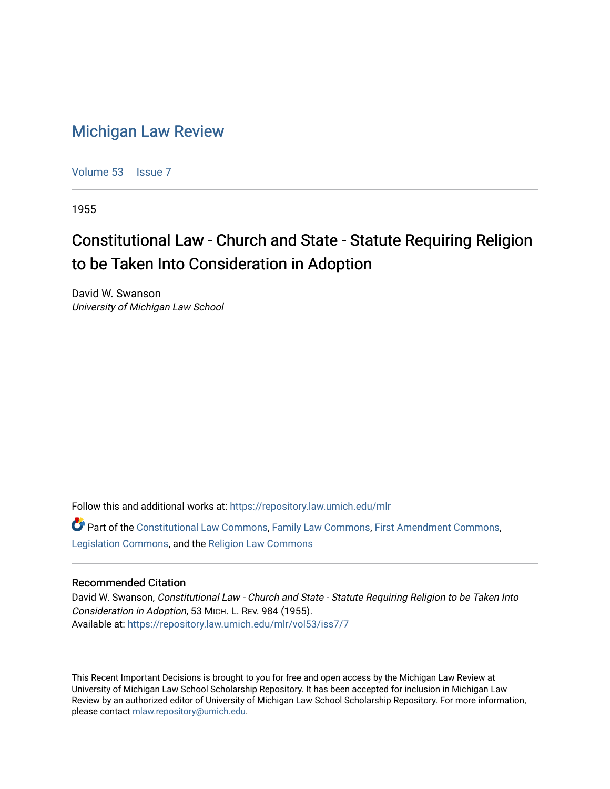## [Michigan Law Review](https://repository.law.umich.edu/mlr)

[Volume 53](https://repository.law.umich.edu/mlr/vol53) | [Issue 7](https://repository.law.umich.edu/mlr/vol53/iss7)

1955

## Constitutional Law - Church and State - Statute Requiring Religion to be Taken Into Consideration in Adoption

David W. Swanson University of Michigan Law School

Follow this and additional works at: [https://repository.law.umich.edu/mlr](https://repository.law.umich.edu/mlr?utm_source=repository.law.umich.edu%2Fmlr%2Fvol53%2Fiss7%2F7&utm_medium=PDF&utm_campaign=PDFCoverPages) 

Part of the [Constitutional Law Commons,](http://network.bepress.com/hgg/discipline/589?utm_source=repository.law.umich.edu%2Fmlr%2Fvol53%2Fiss7%2F7&utm_medium=PDF&utm_campaign=PDFCoverPages) [Family Law Commons,](http://network.bepress.com/hgg/discipline/602?utm_source=repository.law.umich.edu%2Fmlr%2Fvol53%2Fiss7%2F7&utm_medium=PDF&utm_campaign=PDFCoverPages) [First Amendment Commons,](http://network.bepress.com/hgg/discipline/1115?utm_source=repository.law.umich.edu%2Fmlr%2Fvol53%2Fiss7%2F7&utm_medium=PDF&utm_campaign=PDFCoverPages) [Legislation Commons](http://network.bepress.com/hgg/discipline/859?utm_source=repository.law.umich.edu%2Fmlr%2Fvol53%2Fiss7%2F7&utm_medium=PDF&utm_campaign=PDFCoverPages), and the [Religion Law Commons](http://network.bepress.com/hgg/discipline/872?utm_source=repository.law.umich.edu%2Fmlr%2Fvol53%2Fiss7%2F7&utm_medium=PDF&utm_campaign=PDFCoverPages)

## Recommended Citation

David W. Swanson, Constitutional Law - Church and State - Statute Requiring Religion to be Taken Into Consideration in Adoption, 53 MICH. L. REV. 984 (1955). Available at: [https://repository.law.umich.edu/mlr/vol53/iss7/7](https://repository.law.umich.edu/mlr/vol53/iss7/7?utm_source=repository.law.umich.edu%2Fmlr%2Fvol53%2Fiss7%2F7&utm_medium=PDF&utm_campaign=PDFCoverPages)

This Recent Important Decisions is brought to you for free and open access by the Michigan Law Review at University of Michigan Law School Scholarship Repository. It has been accepted for inclusion in Michigan Law Review by an authorized editor of University of Michigan Law School Scholarship Repository. For more information, please contact [mlaw.repository@umich.edu.](mailto:mlaw.repository@umich.edu)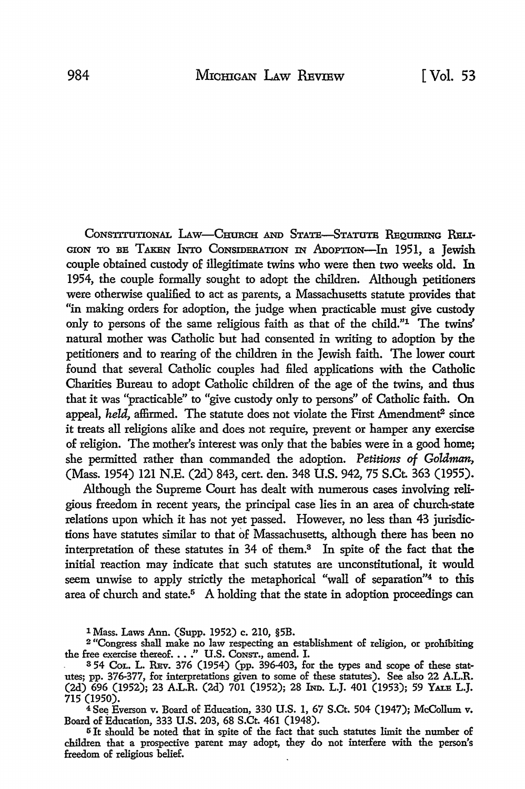CONSTITUTIONAL LAW-CHURCH AND STATE-STATUTE REQUIRING RELI-GION TO BE TAKEN INTO CONSIDERATION IN ADOPTION-In 1951, a Jewish couple obtained custody of illegitimate twins who were then two weeks old. In 1954, the couple formally sought to adopt the children. Although petitioners were otherwise qualified to act as parents, a Massachusetts statute provides that "in making orders for adoption, the judge when practicable must give custody only to persons of the same religious faith as that of the child."1 The twins' natural mother was Catholic but had consented in writing to adoption by the petitioners and to rearing of the children in the Jewish faith. The lower court found that several Catholic couples had filed applications with the Catholic Charities Bureau to adopt Catholic children of the age of the twins, and thus that it was "practicable" to "give custody only to persons" of Catholic faith. On appeal, *held*, affirmed. The statute does not violate the First Amendment<sup>2</sup> since it treats all religions alike and does not require, prevent or hamper any exercise of religion. The mother's interest was only that the babies were in a good home; she permitted rather than commanded the adoption. *Petitions of Goldman,*  (Mass. 1954) 121 N.E. (2d) 843, cert. den. 348 U.S. 942, 75 S.Ct. 363 (1955).

Although the Supreme Court has dealt with numerous cases involving religious freedom in recent years, the principal case lies in an area of church-state relations upon which it has not yet passed. However, no less than 43 jurisdictions have statutes similar to that of Massachusetts, although there has been no interpretation of these statutes in 34 of them.3 In spite of the fact that **the**  initial reaction may indicate that such statutes are unconstitutional, it would seem unwise to apply strictly the metaphorical "wall of separation"<sup>4</sup> to this area of church and state.<sup>5</sup> A holding that the state in adoption proceedings can

l Mass. Laws Ann. (Supp. 1952) c. 210, §5B.

 $4$  See Everson v. Board of Education, 330 U.S. 1, 67 S.Ct. 504 (1947); McCollum v. Board of Education, 333 U.S. 203, 68 S.Ct. 461 (1948).

<sup>5</sup>It should be noted that in spite of the fact that such statutes limit the number of children that a prospective parent may adopt, they do not interfere with the person's freedom of religious belief.

<sup>2</sup>"Congress shall make no law respecting an establishment of religion, or prohibiting the free exercise thereof .••• " U.S. CoNsT., amend. I.

<sup>3</sup> 54 CoL. L. REv. 376 (1954) (pp. 396-403, for the types and scope of these statutes; pp. 376-377, for interpretations given to some of these statutes). See also 22 A.L.R. (2d) 696 (1952); 23 A.LR. (2d) 701 (1952); 28 IND. L.J. 401 (1953); 59 YALE L.J. 715 (1950).